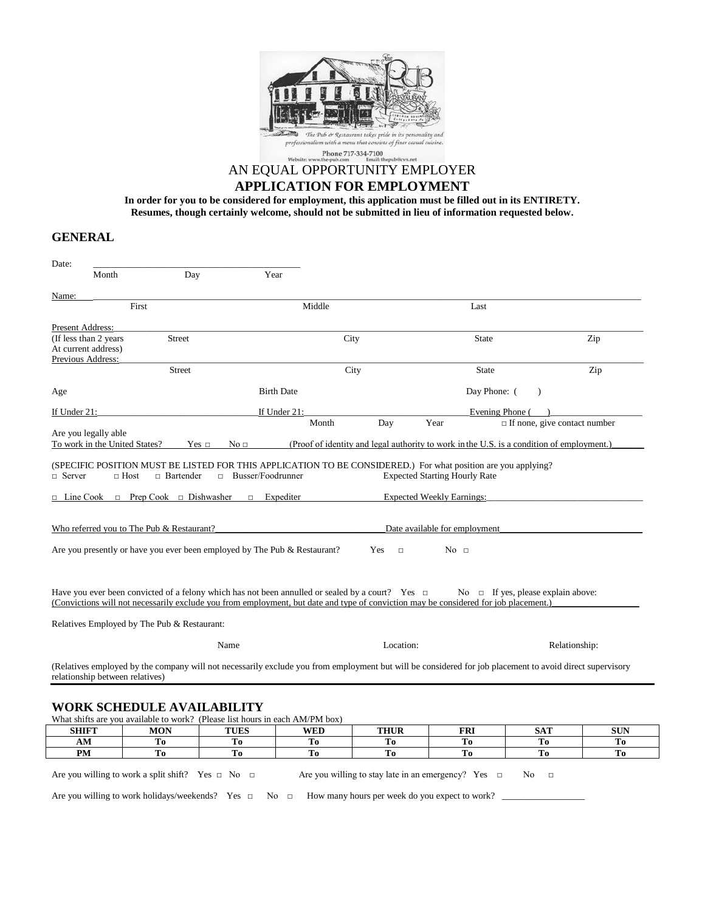

# AN EQUAL OPPORTUNITY EMPLOYER **APPLICATION FOR EMPLOYMENT**

**In order for you to be considered for employment, this application must be filled out in its ENTIRETY. Resumes, though certainly welcome, should not be submitted in lieu of information requested below.**

## **GENERAL**

| Date:                                                                                                                                                                                                                                                                                        |                                    |                     |        |               |                                      |                                         |                                                                                           |
|----------------------------------------------------------------------------------------------------------------------------------------------------------------------------------------------------------------------------------------------------------------------------------------------|------------------------------------|---------------------|--------|---------------|--------------------------------------|-----------------------------------------|-------------------------------------------------------------------------------------------|
| Month                                                                                                                                                                                                                                                                                        | Day                                | Year                |        |               |                                      |                                         |                                                                                           |
| Name:                                                                                                                                                                                                                                                                                        |                                    |                     |        |               |                                      |                                         |                                                                                           |
| First                                                                                                                                                                                                                                                                                        |                                    |                     | Middle |               |                                      | Last                                    |                                                                                           |
| Present Address:                                                                                                                                                                                                                                                                             |                                    |                     |        |               |                                      |                                         |                                                                                           |
| (If less than 2 years                                                                                                                                                                                                                                                                        | <b>Street</b>                      |                     | City   |               |                                      | <b>State</b>                            | Zip                                                                                       |
| At current address)                                                                                                                                                                                                                                                                          |                                    |                     |        |               |                                      |                                         |                                                                                           |
| Previous Address:                                                                                                                                                                                                                                                                            | <b>Street</b>                      |                     | City   |               |                                      | <b>State</b>                            |                                                                                           |
|                                                                                                                                                                                                                                                                                              |                                    |                     |        |               |                                      |                                         | Zip                                                                                       |
| Age                                                                                                                                                                                                                                                                                          |                                    | <b>Birth Date</b>   |        |               |                                      | Day Phone: (                            |                                                                                           |
| If Under 21:                                                                                                                                                                                                                                                                                 |                                    | If Under 21:        |        |               |                                      | Evening Phone (                         |                                                                                           |
|                                                                                                                                                                                                                                                                                              |                                    |                     | Month  | Day           | Year                                 |                                         | $\Box$ If none, give contact number                                                       |
| Are you legally able                                                                                                                                                                                                                                                                         |                                    |                     |        |               |                                      |                                         |                                                                                           |
| To work in the United States?                                                                                                                                                                                                                                                                | $Yes \Box$                         | No <sub>1</sub>     |        |               |                                      |                                         | (Proof of identity and legal authority to work in the U.S. is a condition of employment.) |
|                                                                                                                                                                                                                                                                                              |                                    |                     |        |               | <b>Expected Starting Hourly Rate</b> |                                         |                                                                                           |
|                                                                                                                                                                                                                                                                                              | $\Box$ Prep Cook $\Box$ Dishwasher | Expediter<br>$\Box$ |        |               | <b>Expected Weekly Earnings:</b>     |                                         |                                                                                           |
| $\Box$ Line Cook<br>Who referred you to The Pub & Restaurant?                                                                                                                                                                                                                                |                                    |                     |        |               | Date available for employment        |                                         |                                                                                           |
| Are you presently or have you ever been employed by The Pub & Restaurant?                                                                                                                                                                                                                    |                                    |                     |        | Yes<br>$\Box$ | No <sub>1</sub>                      |                                         |                                                                                           |
|                                                                                                                                                                                                                                                                                              |                                    |                     |        |               |                                      | No $\Box$ If yes, please explain above: |                                                                                           |
| Have you ever been convicted of a felony which has not been annulled or sealed by a court? Yes $\Box$<br>(Convictions will not necessarily exclude you from employment, but date and type of conviction may be considered for job placement.)<br>Relatives Employed by The Pub & Restaurant: |                                    |                     |        |               |                                      |                                         |                                                                                           |
|                                                                                                                                                                                                                                                                                              |                                    | Name                |        | Location:     |                                      |                                         | Relationship:                                                                             |

| '' Own bombb che in Theindhein                                               |                                                             |             |            |                                                                                                                                                                                      |            |            |            |
|------------------------------------------------------------------------------|-------------------------------------------------------------|-------------|------------|--------------------------------------------------------------------------------------------------------------------------------------------------------------------------------------|------------|------------|------------|
| What shifts are you available to work? (Please list hours in each AM/PM box) |                                                             |             |            |                                                                                                                                                                                      |            |            |            |
| <b>SHIFT</b>                                                                 | <b>MON</b>                                                  | <b>TUES</b> | <b>WED</b> | <b>THUR</b>                                                                                                                                                                          | <b>FRI</b> | <b>SAT</b> | <b>SUN</b> |
| AМ                                                                           | Tо                                                          | Тo          | Тo         | Tо                                                                                                                                                                                   | Tо         | Tо         | Tо         |
| PM                                                                           | Tо                                                          | Tо          | Tо         | То                                                                                                                                                                                   | Тο         | Tо         | Тo         |
|                                                                              | Are you willing to work a split shift? Yes $\Box$ No $\Box$ |             |            | Are you willing to stay late in an emergency? Yes $\Box$ No $\Box$<br>Are you willing to work holidays/weekends? Yes $\Box$ No $\Box$ How many hours per week do you expect to work? |            |            |            |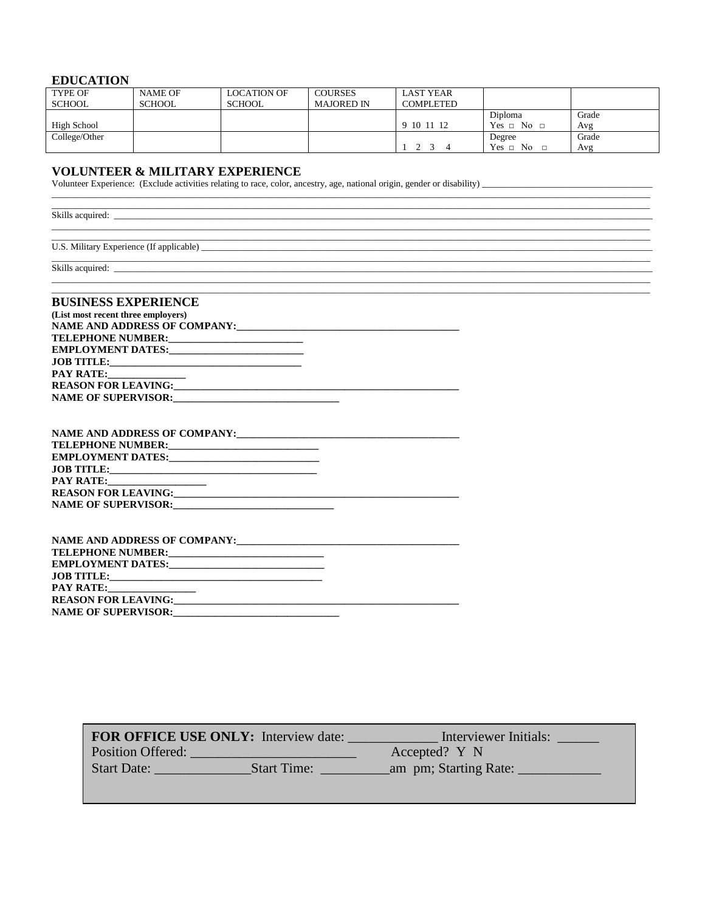### **EDUCATION**

| <b>TYPE OF</b> | <b>NAME OF</b> | <b>LOCATION OF</b> | <b>COURSES</b>    | <b>LAST YEAR</b> |                    |       |
|----------------|----------------|--------------------|-------------------|------------------|--------------------|-------|
| <b>SCHOOL</b>  | SCHOOL         | <b>SCHOOL</b>      | <b>MAJORED IN</b> | <b>COMPLETED</b> |                    |       |
|                |                |                    |                   |                  | Diploma            | Grade |
| High School    |                |                    |                   | 9 10 11 12       | $Yes \Box No \Box$ | Avg   |
| College/Other  |                |                    |                   |                  | Degree             | Grade |
|                |                |                    |                   |                  | $Yes \Box No$      | Avg   |

VOLUNTEER & MILITARY EXPERIENCE<br>Volunteer Experience: (Exclude activities relating to race, color, ancestry, age, national origin, gender or disability)

| <u> 1980 - Andrea San Andrea Andrea Andrea Andrea Andrea Andrea Andrea Andrea Andrea Andrea Andrea Andrea Andrea </u><br>Skills acquired: <u>contract and the contract of the contract of the contract of the contract of the contract of the contract of the contract of the contract of the contract of the contract of the contract of the contract of</u> |  |  |
|---------------------------------------------------------------------------------------------------------------------------------------------------------------------------------------------------------------------------------------------------------------------------------------------------------------------------------------------------------------|--|--|
|                                                                                                                                                                                                                                                                                                                                                               |  |  |
|                                                                                                                                                                                                                                                                                                                                                               |  |  |
|                                                                                                                                                                                                                                                                                                                                                               |  |  |
|                                                                                                                                                                                                                                                                                                                                                               |  |  |
| <b>BUSINESS EXPERIENCE</b>                                                                                                                                                                                                                                                                                                                                    |  |  |
| (List most recent three employers)                                                                                                                                                                                                                                                                                                                            |  |  |
| NAME AND ADDRESS OF COMPANY:                                                                                                                                                                                                                                                                                                                                  |  |  |
|                                                                                                                                                                                                                                                                                                                                                               |  |  |

| <b>EMPLOYMENT DATES:</b>   |  |
|----------------------------|--|
| <b>JOB TITLE:</b>          |  |
| <b>PAY RATE:</b>           |  |
| <b>REASON FOR LEAVING:</b> |  |
| <b>NAME OF SUPERVISOR:</b> |  |

| <b>NAME AND ADDRESS OF COMPANY:</b>  | <u> 1989 - Johann Stoff, deutscher Stoff, der Stoff, der Stoff, der Stoff, der Stoff, der Stoff, der Stoff, der S</u> |
|--------------------------------------|-----------------------------------------------------------------------------------------------------------------------|
| TELEPHONE NUMBER:                    |                                                                                                                       |
|                                      |                                                                                                                       |
|                                      |                                                                                                                       |
| <b>PAY RATE:</b> ___________________ |                                                                                                                       |
|                                      |                                                                                                                       |
| NAME OF SUPERVISOR:                  |                                                                                                                       |

| <b>REASON FOR LEAVING:</b>                                                                                                                           | <u> 1980 - Jan James James James James James James James James James James James James James James James James J</u> |
|------------------------------------------------------------------------------------------------------------------------------------------------------|----------------------------------------------------------------------------------------------------------------------|
| <b>NAME OF SUPERVISOR:</b><br><u> 1980 - Antonio Alemania, mpanda alemaniar alemaniar alemaniar alemaniar alemaniar alemaniar alemaniar alemania</u> |                                                                                                                      |

|                    | <b>FOR OFFICE USE ONLY:</b> Interview date: | Interviewer Initials: |
|--------------------|---------------------------------------------|-----------------------|
| Position Offered:  |                                             | Accepted? Y N         |
| <b>Start Date:</b> | <b>Start Time:</b>                          | am pm; Starting Rate: |